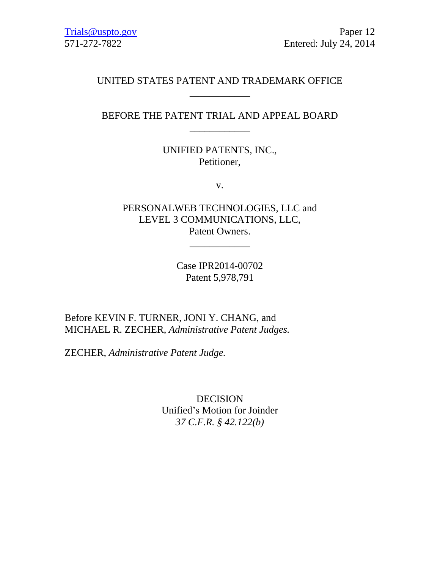# UNITED STATES PATENT AND TRADEMARK OFFICE \_\_\_\_\_\_\_\_\_\_\_\_

# BEFORE THE PATENT TRIAL AND APPEAL BOARD \_\_\_\_\_\_\_\_\_\_\_\_

# UNIFIED PATENTS, INC., Petitioner,

v.

PERSONALWEB TECHNOLOGIES, LLC and LEVEL 3 COMMUNICATIONS, LLC, Patent Owners.

\_\_\_\_\_\_\_\_\_\_\_\_

Case IPR2014-00702 Patent 5,978,791

Before KEVIN F. TURNER, JONI Y. CHANG, and MICHAEL R. ZECHER, *Administrative Patent Judges.*

ZECHER, *Administrative Patent Judge.*

DECISION Unified's Motion for Joinder *37 C.F.R. § 42.122(b)*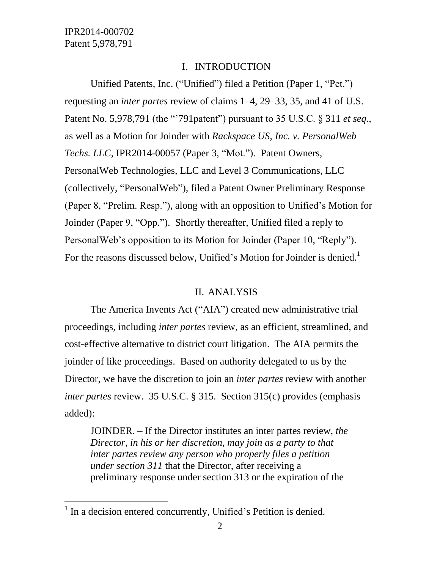$\overline{a}$ 

### I. INTRODUCTION

Unified Patents, Inc. ("Unified") filed a Petition (Paper 1, "Pet.") requesting an *inter partes* review of claims 1–4, 29–33, 35, and 41 of U.S. Patent No. 5,978,791 (the "'791patent") pursuant to 35 U.S.C. § 311 *et seq*., as well as a Motion for Joinder with *Rackspace US, Inc. v. PersonalWeb Techs. LLC*, IPR2014-00057 (Paper 3, "Mot."). Patent Owners, PersonalWeb Technologies, LLC and Level 3 Communications, LLC (collectively, "PersonalWeb"), filed a Patent Owner Preliminary Response (Paper 8, "Prelim. Resp."), along with an opposition to Unified's Motion for Joinder (Paper 9, "Opp."). Shortly thereafter, Unified filed a reply to PersonalWeb's opposition to its Motion for Joinder (Paper 10, "Reply"). For the reasons discussed below, Unified's Motion for Joinder is denied.<sup>1</sup>

### II. ANALYSIS

The America Invents Act ("AIA") created new administrative trial proceedings, including *inter partes* review, as an efficient, streamlined, and cost-effective alternative to district court litigation. The AIA permits the joinder of like proceedings. Based on authority delegated to us by the Director, we have the discretion to join an *inter partes* review with another *inter partes* review. 35 U.S.C. § 315. Section 315(c) provides (emphasis added):

JOINDER. – If the Director institutes an inter partes review, *the Director, in his or her discretion, may join as a party to that inter partes review any person who properly files a petition under section 311* that the Director, after receiving a preliminary response under section 313 or the expiration of the

<sup>&</sup>lt;sup>1</sup> In a decision entered concurrently, Unified's Petition is denied.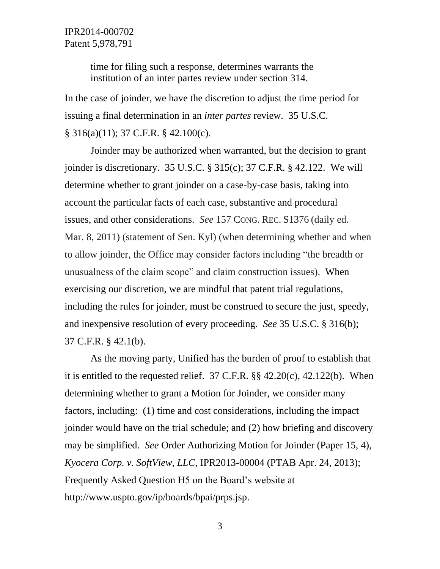time for filing such a response, determines warrants the institution of an inter partes review under section 314.

In the case of joinder, we have the discretion to adjust the time period for issuing a final determination in an *inter partes* review. 35 U.S.C. § 316(a)(11); 37 C.F.R. § 42.100(c).

Joinder may be authorized when warranted, but the decision to grant joinder is discretionary. 35 U.S.C. § 315(c); 37 C.F.R. § 42.122. We will determine whether to grant joinder on a case-by-case basis, taking into account the particular facts of each case, substantive and procedural issues, and other considerations. *See* 157 CONG. REC. S1376 (daily ed. Mar. 8, 2011) (statement of Sen. Kyl) (when determining whether and when to allow joinder, the Office may consider factors including "the breadth or unusualness of the claim scope" and claim construction issues). When exercising our discretion, we are mindful that patent trial regulations, including the rules for joinder, must be construed to secure the just, speedy, and inexpensive resolution of every proceeding. *See* 35 U.S.C. § 316(b); 37 C.F.R. § 42.1(b).

As the moving party, Unified has the burden of proof to establish that it is entitled to the requested relief.  $37 \text{ C.F.R.}$  §§  $42.20(c)$ ,  $42.122(b)$ . When determining whether to grant a Motion for Joinder, we consider many factors, including: (1) time and cost considerations, including the impact joinder would have on the trial schedule; and (2) how briefing and discovery may be simplified. *See* Order Authorizing Motion for Joinder (Paper 15, 4), *Kyocera Corp. v. SoftView, LLC*, IPR2013-00004 (PTAB Apr. 24, 2013); Frequently Asked Question H5 on the Board's website at http://www.uspto.gov/ip/boards/bpai/prps.jsp.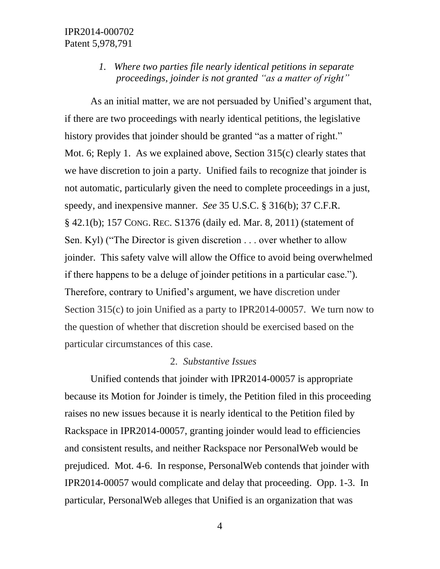## *1. Where two parties file nearly identical petitions in separate proceedings, joinder is not granted "as a matter of right"*

As an initial matter, we are not persuaded by Unified's argument that, if there are two proceedings with nearly identical petitions, the legislative history provides that joinder should be granted "as a matter of right." Mot. 6; Reply 1. As we explained above, Section 315(c) clearly states that we have discretion to join a party. Unified fails to recognize that joinder is not automatic, particularly given the need to complete proceedings in a just, speedy, and inexpensive manner. *See* 35 U.S.C. § 316(b); 37 C.F.R. § 42.1(b); 157 CONG. REC. S1376 (daily ed. Mar. 8, 2011) (statement of Sen. Kyl) ("The Director is given discretion . . . over whether to allow joinder. This safety valve will allow the Office to avoid being overwhelmed if there happens to be a deluge of joinder petitions in a particular case."). Therefore, contrary to Unified's argument, we have discretion under Section 315(c) to join Unified as a party to IPR2014-00057. We turn now to the question of whether that discretion should be exercised based on the particular circumstances of this case.

#### 2. *Substantive Issues*

Unified contends that joinder with IPR2014-00057 is appropriate because its Motion for Joinder is timely, the Petition filed in this proceeding raises no new issues because it is nearly identical to the Petition filed by Rackspace in IPR2014-00057, granting joinder would lead to efficiencies and consistent results, and neither Rackspace nor PersonalWeb would be prejudiced. Mot. 4-6. In response, PersonalWeb contends that joinder with IPR2014-00057 would complicate and delay that proceeding. Opp. 1-3. In particular, PersonalWeb alleges that Unified is an organization that was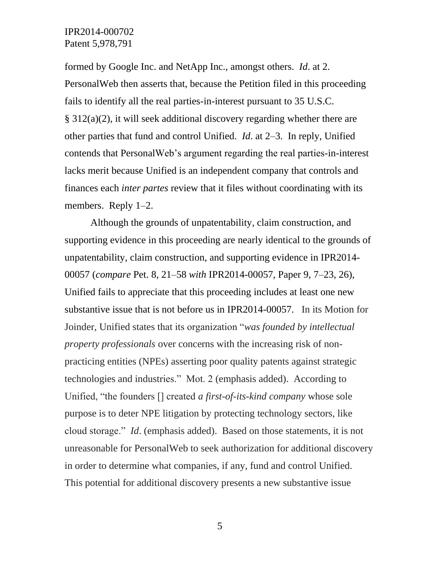formed by Google Inc. and NetApp Inc., amongst others. *Id*. at 2. PersonalWeb then asserts that, because the Petition filed in this proceeding fails to identify all the real parties-in-interest pursuant to 35 U.S.C. § 312(a)(2), it will seek additional discovery regarding whether there are other parties that fund and control Unified. *Id*. at 2–3. In reply, Unified contends that PersonalWeb's argument regarding the real parties-in-interest lacks merit because Unified is an independent company that controls and finances each *inter partes* review that it files without coordinating with its members. Reply 1–2.

Although the grounds of unpatentability, claim construction, and supporting evidence in this proceeding are nearly identical to the grounds of unpatentability, claim construction, and supporting evidence in IPR2014- 00057 (*compare* Pet. 8, 21–58 *with* IPR2014-00057, Paper 9, 7–23, 26), Unified fails to appreciate that this proceeding includes at least one new substantive issue that is not before us in IPR2014-00057. In its Motion for Joinder, Unified states that its organization "*was founded by intellectual property professionals* over concerns with the increasing risk of nonpracticing entities (NPEs) asserting poor quality patents against strategic technologies and industries." Mot. 2 (emphasis added). According to Unified, "the founders [] created *a first-of-its-kind company* whose sole purpose is to deter NPE litigation by protecting technology sectors, like cloud storage." *Id*. (emphasis added). Based on those statements, it is not unreasonable for PersonalWeb to seek authorization for additional discovery in order to determine what companies, if any, fund and control Unified. This potential for additional discovery presents a new substantive issue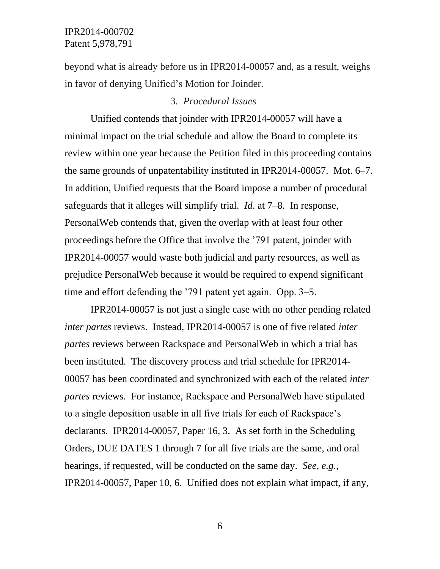beyond what is already before us in IPR2014-00057 and, as a result, weighs in favor of denying Unified's Motion for Joinder.

### 3. *Procedural Issues*

Unified contends that joinder with IPR2014-00057 will have a minimal impact on the trial schedule and allow the Board to complete its review within one year because the Petition filed in this proceeding contains the same grounds of unpatentability instituted in IPR2014-00057. Mot. 6–7. In addition, Unified requests that the Board impose a number of procedural safeguards that it alleges will simplify trial. *Id*. at 7–8. In response, PersonalWeb contends that, given the overlap with at least four other proceedings before the Office that involve the '791 patent, joinder with IPR2014-00057 would waste both judicial and party resources, as well as prejudice PersonalWeb because it would be required to expend significant time and effort defending the '791 patent yet again. Opp. 3–5.

IPR2014-00057 is not just a single case with no other pending related *inter partes* reviews. Instead, IPR2014-00057 is one of five related *inter partes* reviews between Rackspace and PersonalWeb in which a trial has been instituted. The discovery process and trial schedule for IPR2014- 00057 has been coordinated and synchronized with each of the related *inter partes* reviews. For instance, Rackspace and PersonalWeb have stipulated to a single deposition usable in all five trials for each of Rackspace's declarants. IPR2014-00057, Paper 16, 3. As set forth in the Scheduling Orders, DUE DATES 1 through 7 for all five trials are the same, and oral hearings, if requested, will be conducted on the same day. *See, e.g.*, IPR2014-00057, Paper 10, 6. Unified does not explain what impact, if any,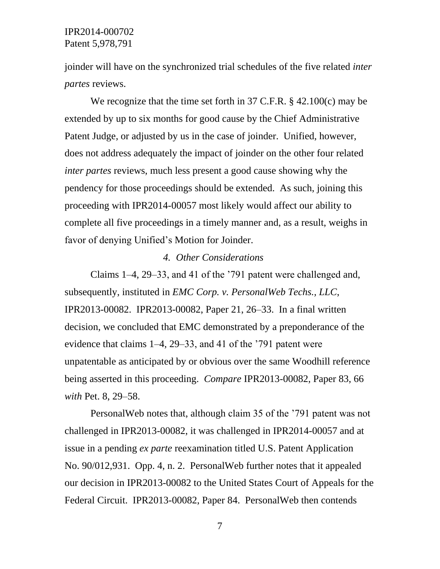joinder will have on the synchronized trial schedules of the five related *inter partes* reviews.

We recognize that the time set forth in 37 C.F.R. § 42.100(c) may be extended by up to six months for good cause by the Chief Administrative Patent Judge, or adjusted by us in the case of joinder. Unified, however, does not address adequately the impact of joinder on the other four related *inter partes* reviews, much less present a good cause showing why the pendency for those proceedings should be extended. As such, joining this proceeding with IPR2014-00057 most likely would affect our ability to complete all five proceedings in a timely manner and, as a result, weighs in favor of denying Unified's Motion for Joinder.

### *4. Other Considerations*

Claims 1–4, 29–33, and 41 of the '791 patent were challenged and, subsequently, instituted in *EMC Corp. v. PersonalWeb Techs., LLC*, IPR2013-00082. IPR2013-00082, Paper 21, 26–33. In a final written decision, we concluded that EMC demonstrated by a preponderance of the evidence that claims 1–4, 29–33, and 41 of the '791 patent were unpatentable as anticipated by or obvious over the same Woodhill reference being asserted in this proceeding. *Compare* IPR2013-00082, Paper 83, 66 *with* Pet. 8, 29–58.

PersonalWeb notes that, although claim 35 of the '791 patent was not challenged in IPR2013-00082, it was challenged in IPR2014-00057 and at issue in a pending *ex parte* reexamination titled U.S. Patent Application No. 90/012,931. Opp. 4, n. 2. PersonalWeb further notes that it appealed our decision in IPR2013-00082 to the United States Court of Appeals for the Federal Circuit. IPR2013-00082, Paper 84. PersonalWeb then contends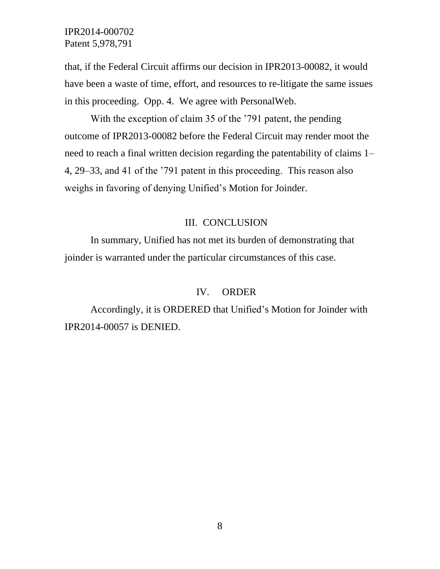that, if the Federal Circuit affirms our decision in IPR2013-00082, it would have been a waste of time, effort, and resources to re-litigate the same issues in this proceeding. Opp. 4. We agree with PersonalWeb.

With the exception of claim 35 of the '791 patent, the pending outcome of IPR2013-00082 before the Federal Circuit may render moot the need to reach a final written decision regarding the patentability of claims 1– 4, 29–33, and 41 of the '791 patent in this proceeding. This reason also weighs in favoring of denying Unified's Motion for Joinder.

### III. CONCLUSION

In summary, Unified has not met its burden of demonstrating that joinder is warranted under the particular circumstances of this case.

#### IV. ORDER

Accordingly, it is ORDERED that Unified's Motion for Joinder with IPR2014-00057 is DENIED.